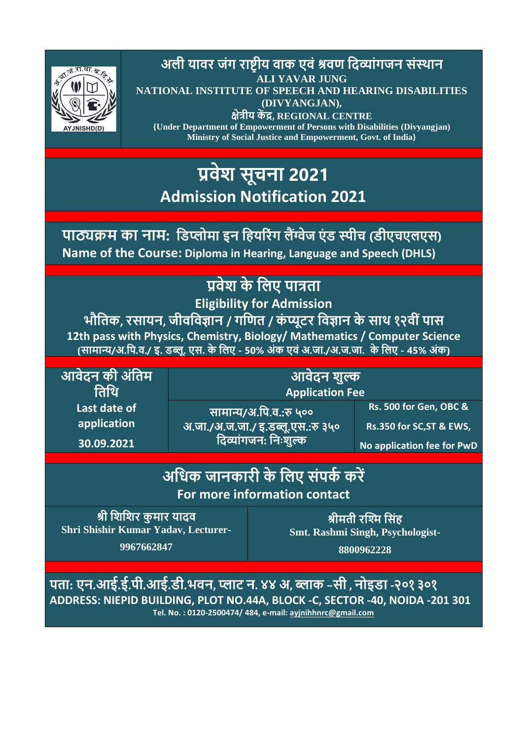

**अली यावर जंग राष्ट्रीय वाक एवं श्रवण दिव्ांगजन संस्थान ALI YAVAR JUNG NATIONAL INSTITUTE OF SPEECH AND HEARING DISABILITIES (DIVYANGJAN), क्षेत्रीय कें द्र, REGIONAL CENTRE {Under Department of Empowerment of Persons with Disabilities (Divyangjan)**

**Ministry of Social Justice and Empowerment, Govt. of India}**

## **प्रवेश सूचना 2021 Admission Notification 2021**

# **पाठ्यक्रम का नाम: दिप्लोमा इन दियररंग लैंग्वेज एं ि स्पीच (िीएचएलएस)**

**Name of the Course: Diploma in Hearing, Language and Speech (DHLS)**

### **प्रवेश के दलए पात्रता**

**Eligibility for Admission**

**भौदतक, रसायन, जीवदवज्ञान / गदणत / कं प्यूटर दवज्ञान के साथ १२वी ंपास 12th pass with Physics, Chemistry, Biology/ Mathematics / Computer Science** (सामान्य/अ.पि.व./ इ. डब्लू. एस. के लिए - 50% अंक एवं अ.जा./अ.ज.जा. के लिए - 45% अंक)

**आवेिन की अंदतम दतदथ Last date of application**

**30.09.2021**

**आवेिन शुल्क Application Fee**

**सामान्य/अ.दप.व.:रु ५०० अ.जा./अ.ज.जा./ इ.िब्लू.एस.:रु ३५० दिव्ांगजन: दनिःशुल्क**

**Rs. 500 for Gen, OBC & Rs.350 for SC,ST & EWS,** 

**No application fee for PwD**

### **अदिक जानकारी के दलए संपकक करें For more information contact**

<u>श्री शिशिर कुमार यादव</u> **Shri Shishir Kumar Yadav, Lecturer-**

**9967662847**

**श्रीमती रश्मि दसंि Smt. Rashmi Singh, Psychologist-**

**8800962228**

पता: एन.आई.ई.पी.आई.डी.भवन, प्लाट न. ४४ अ, ब्लाक -सी , नोइडा -२०१ ३०१ **ADDRESS: NIEPID BUILDING, PLOT NO.44A, BLOCK -C, SECTOR -40, NOIDA -201 301 Tel. No. : 0120-2500474/ 484, e-mail: [ayjnihhnrc@gmail.com](mailto:ayjnihhnrc@gmail.com)**